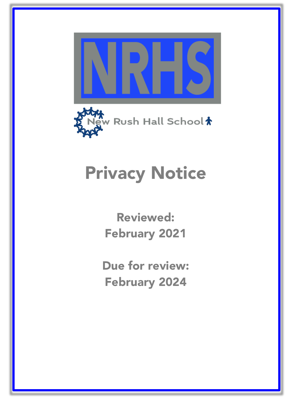



# Privacy Notice

Reviewed: February 2021

Due for review: February 2024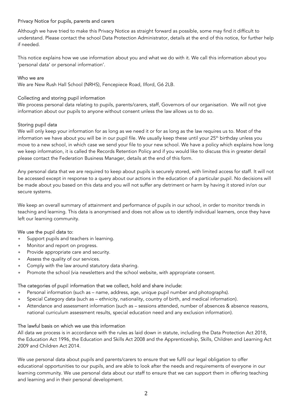## Privacy Notice for pupils, parents and carers

Although we have tried to make this Privacy Notice as straight forward as possible, some may find it difficult to understand. Please contact the school Data Protection Administrator, details at the end of this notice, for further help if needed.

This notice explains how we use information about you and what we do with it. We call this information about you 'personal data' or personal information'.

#### Who we are

We are New Rush Hall School (NRHS), Fencepiece Road, Ilford, G6 2LB.

## Collecting and storing pupil information

We process personal data relating to pupils, parents/carers, staff, Governors of our organisation. We will not give information about our pupils to anyone without consent unless the law allows us to do so.

## Storing pupil data

We will only keep your information for as long as we need it or for as long as the law requires us to. Most of the information we have about you will be in our pupil file. We usually keep these until your 25<sup>th</sup> birthday unless you move to a new school, in which case we send your file to your new school. We have a policy which explains how long we keep information, it is called the Records Retention Policy and if you would like to discuss this in greater detail please contact the Federation Business Manager, details at the end of this form.

Any personal data that we are required to keep about pupils is securely stored, with limited access for staff. It will not be accessed except in response to a query about our actions in the education of a particular pupil. No decisions will be made about you based on this data and you will not suffer any detriment or harm by having it stored in/on our secure systems.

We keep an overall summary of attainment and performance of pupils in our school, in order to monitor trends in teaching and learning. This data is anonymised and does not allow us to identify individual learners, once they have left our learning community.

#### We use the pupil data to:

- Support pupils and teachers in learning.
- Monitor and report on progress.
- Provide appropriate care and security.
- Assess the quality of our services.
- Comply with the law around statutory data sharing.
- Promote the school (via newsletters and the school website, with appropriate consent.

#### The categories of pupil information that we collect, hold and share include:

- Personal information (such as name, address, age, unique pupil number and photographs).
- Special Category data (such as ethnicity, nationality, country of birth, and medical information).
- Attendance and assessment information (such as sessions attended, number of absences & absence reasons, national curriculum assessment results, special education need and any exclusion information).

#### The lawful basis on which we use this information

All data we process is in accordance with the rules as laid down in statute, including the Data Protection Act 2018, the Education Act 1996, the Education and Skills Act 2008 and the Apprenticeship, Skills, Children and Learning Act 2009 and Children Act 2014.

We use personal data about pupils and parents/carers to ensure that we fulfil our legal obligation to offer educational opportunities to our pupils, and are able to look after the needs and requirements of everyone in our learning community. We use personal data about our staff to ensure that we can support them in offering teaching and learning and in their personal development.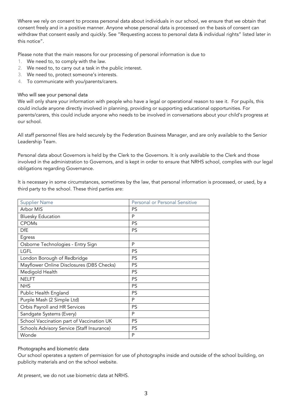Where we rely on consent to process personal data about individuals in our school, we ensure that we obtain that consent freely and in a positive manner. Anyone whose personal data is processed on the basis of consent can withdraw that consent easily and quickly. See "Requesting access to personal data & individual rights" listed later in this notice".

Please note that the main reasons for our processing of personal information is due to

- 1. We need to, to comply with the law.
- 2. We need to, to carry out a task in the public interest.
- 3. We need to, protect someone's interests.
- 4. To communicate with you/parents/carers.

## Who will see your personal data

We will only share your information with people who have a legal or operational reason to see it. For pupils, this could include anyone directly involved in planning, providing or supporting educational opportunities. For parents/carers, this could include anyone who needs to be involved in conversations about your child's progress at our school.

All staff personnel files are held securely by the Federation Business Manager, and are only available to the Senior Leadership Team.

Personal data about Governors is held by the Clerk to the Governors. It is only available to the Clerk and those involved in the administration to Governors, and is kept in order to ensure that NRHS school, complies with our legal obligations regarding Governance.

It is necessary in some circumstances, sometimes by the law, that personal information is processed, or used, by a third party to the school. These third parties are:

| <b>Supplier Name</b>                       | Personal or Personal Sensitive |
|--------------------------------------------|--------------------------------|
| Arbor MIS                                  | <b>PS</b>                      |
| <b>Bluesky Education</b>                   | P                              |
| <b>CPOMs</b>                               | <b>PS</b>                      |
| DfE                                        | <b>PS</b>                      |
| Egress                                     |                                |
| Osborne Technologies - Entry Sign          | P                              |
| LGFL                                       | PS                             |
| London Borough of Redbridge                | <b>PS</b>                      |
| Mayflower Online Disclosures (DBS Checks)  | PS                             |
| Medigold Health                            | PS                             |
| <b>NELFT</b>                               | PS                             |
| <b>NHS</b>                                 | PS                             |
| Public Health England                      | PS                             |
| Purple Mash (2 Simple Ltd)                 | P                              |
| Orbis Payroll and HR Services              | PS                             |
| Sandgate Systems (Every)                   | P                              |
| School Vaccination part of Vaccination UK  | PS                             |
| Schools Advisory Service (Staff Insurance) | <b>PS</b>                      |
| Wonde                                      | P                              |

## Photographs and biometric data

Our school operates a system of permission for use of photographs inside and outside of the school building, on publicity materials and on the school website.

At present, we do not use biometric data at NRHS.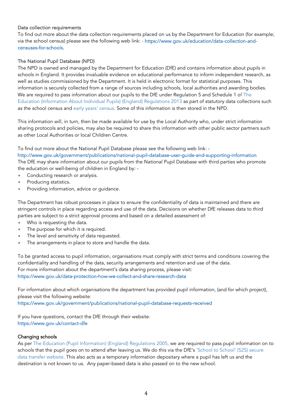## Data collection requirements

To find out more about the data collection requirements placed on us by the Department for Education (for example; via the school census) please see the following web link: - https://www.gov.uk/education/data-collection-andcensuses-for-schools.

## The National Pupil Database (NPD)

The NPD is owned and managed by the Department for Education (DfE) and contains information about pupils in schools in England. It provides invaluable evidence on educational performance to inform independent research, as well as studies commissioned by the Department. It is held in electronic format for statistical purposes. This information is securely collected from a range of sources including schools, local authorities and awarding bodies. We are required to pass information about our pupils to the DfE under Regulation 5 and Schedule 1 of The Education (Information About Individual Pupils) (England) Regulations 2013 as part of statutory data collections such as the school census and early years' census. Some of this information is then stored in the NPD.

This information will, in turn, then be made available for use by the Local Authority who, under strict information sharing protocols and policies, may also be required to share this information with other public sector partners such as other Local Authorities or local Children Centre.

To find out more about the National Pupil Database please see the following web link: -

http://www.gov.uk/government/publications/national-pupil-database-user-guide-and-supporting-information The DfE may share information about our pupils from the National Pupil Database with third parties who promote the education or well-being of children in England by: -

- Conducting research or analysis.
- Producing statistics.
- Providing information, advice or guidance.

The Department has robust processes in place to ensure the confidentiality of data is maintained and there are stringent controls in place regarding access and use of the data. Decisions on whether DfE releases data to third parties are subject to a strict approval process and based on a detailed assessment of:

- Who is requesting the data.
- The purpose for which it is required.
- The level and sensitivity of data requested.
- The arrangements in place to store and handle the data.

To be granted access to pupil information, organisations must comply with strict terms and conditions covering the confidentiality and handling of the data, security arrangements and retention and use of the data. For more information about the department's data sharing process, please visit: https://www.gov.uk/data-protection-how-we-collect-and-share-research-data

For information about which organisations the department has provided pupil information, (and for which project), please visit the following website:

https://www.gov.uk/government/publications/national-pupil-database-requests-received

If you have questions, contact the DfE through their website: https://www.gov.uk/contact-dfe

## Changing schools

As per The Education (Pupil Information) (England) Regulations 2005, we are required to pass pupil information on to schools that the pupil goes on to attend after leaving us. We do this via the DfE's 'School to School' (S2S) secure data transfer website. This also acts as a temporary information depositary where a pupil has left us and the destination is not known to us. Any paper-based data is also passed on to the new school.